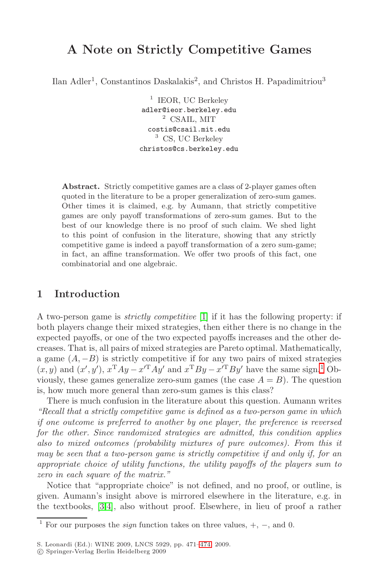# **A Note on Strictly Competitive Games**

Ilan Adler<sup>1</sup>, Constantinos Daskalakis<sup>2</sup>, and Christos H. Papadimitriou<sup>3</sup>

<sup>1</sup> IEOR, UC Berkeley adler@ieor.berkeley.edu <sup>2</sup> CSAIL, MIT costis@csail.mit.edu <sup>3</sup> CS, UC Berkeley christos@cs.berkeley.edu

**Abstract.** Strictly competitive games are a class of 2-player games often quoted in the literature to be a proper generalization of zero-sum games. Other times it is claimed, e.g. by Aumann, that strictly competitive games are only payoff transformations of zero-sum games. But to the best of our knowledge there is no proof of such claim. We shed light to this point of c[on](#page-3-0)fusion in the literature, showing that any strictly competitive game is indeed a payoff transformation of a zero sum-game; in fact, an affine transformation. We offer two proofs of this fact, one combinatorial and one algebraic.

#### **1 Introduction**

A two-person game is *strictly competitive* [1] if it has the following property: if both players change their mixed strategies, then either there is no change in the expected payoffs, or one of the two expected payoffs increases and the other decreases. That is, all pairs of mixed strategies are Pareto optimal. Mathematically, a game  $(A, -B)$  is strictly competitive if for any two pairs of mixed strategies  $(x, y)$  and  $(x', y')$ ,  $x^{\mathrm{T}}Ay - x'^{\mathrm{T}}Ay'$  and  $x^{\mathrm{T}}By - x'^{\mathrm{T}}By'$  have the same sign.<sup>1</sup> Obviously, these games generalize zero-sum games (the case  $A = B$ ). The question is, how much more general than zero-sum games is this class?

There is much confusion in the literature about this question. Aumann writes *"Recall that a strictly competitive game is defined as a two-person game in which [i](#page-3-1)f one outcome is preferred to another by one player, the preference is reversed for the other. Since randomized strategies are admitted, this condition applies also to mixed outcomes (probability mixtures of pure outcomes). From this it may be seen that a two-person game is strictly competitive if and only if, for an appropriate choice of u[tilit](#page-3-2)y functions, the utility payoffs of the players sum to zero in each square of the matrix."*

Notice that "appropriate choice" is not defined, and no proof, or outline, is given. Aumann's insight above is mirrored elsewhere in the literature, e.g. in the textbooks, [3,4], also without proof. Elsewhere, in lieu of proof a rather

<sup>1</sup> For our purposes the *sign* function takes on three values, +, *<sup>−</sup>*, and 0.

S. Leonardi (Ed.): WINE 2009, LNCS 5929, pp. 471–474, 2009.

c Springer-Verlag Berlin Heidelberg 2009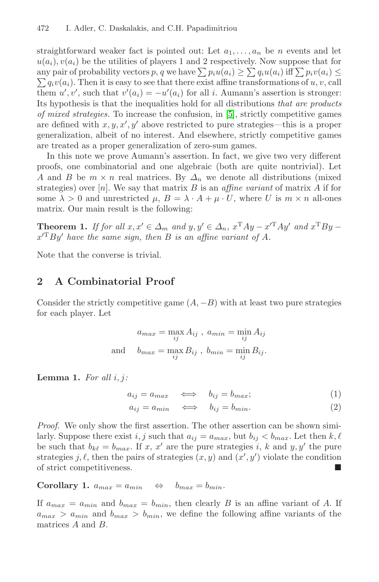#### 472 I. Adler, C. Daskalakis, [and](#page-3-3) C.H. Papadimitriou

straightforward weaker fact is pointed out: Let  $a_1, \ldots, a_n$  be n events and let  $u(a_i), v(a_i)$  be the utilities of players 1 and 2 respectively. Now suppose that for any pair of probability vectors p, q we have  $\sum p_i u(a_i) \geq \sum q_i u(a_i)$  iff  $\sum p_i v(a_i) \leq$  $\sum q_i v(a_i)$ . Then it is easy to see that there exist affine transformations of u, v, call them  $u', v'$ , such that  $v'(a_i) = -u'(a_i)$  for all *i*. Aumann's assertion is stronger: Its hypothesis is that the inequalities hold for all distributions *that are products of mixed strategies.* To increase the confusion, in [5], strictly competitive games are defined with  $x, y, x', y'$  above restricted to pure strategies—this is a proper generalization, albeit of no interest. And elsewhere, strictly competitive games are treated as a proper generalization of zero-sum games.

<span id="page-1-1"></span>In this note we prove Aumann's assertion. In fact, we give two very different proofs, one combinatorial and one algebraic (both are quite nontrivial). Let A and B be  $m \times n$  real matrices. By  $\Delta_n$  we denote all distributions (mixed strategies) over [n]. We say that matrix B is an *affine variant* of matrix A if for some  $\lambda > 0$  and unrestricted  $\mu$ ,  $B = \lambda \cdot A + \mu \cdot U$ , where U is  $m \times n$  all-ones matrix. Our main result is the following:

**Theorem 1.** *If for all*  $x, x' \in \Delta_m$  *and*  $y, y' \in \Delta_n$ ,  $x^T A y - x'^T A y'$  *and*  $x^T B y - x' B y'$  $x'^TBy'$  have the same sign, then B is an affine variant of A.

Note that the converse is trivial.

#### <span id="page-1-0"></span>**2 A Combinatorial Proof**

Consider the strictly competitive game  $(A, -B)$  with at least two pure strategies for each player. Let

$$
a_{max} = \max_{ij} A_{ij} , a_{min} = \min_{ij} A_{ij}
$$
  
and 
$$
b_{max} = \max_{ij} B_{ij} , b_{min} = \min_{ij} B_{ij}.
$$

**Lemma 1.** For all  $i, j$ :

$$
a_{ij} = a_{max} \iff b_{ij} = b_{max}; \tag{1}
$$

$$
a_{ij} = a_{min} \iff b_{ij} = b_{min}.
$$
 (2)

*Proof.* We only show the first assertion. The other assertion can be shown similarly. Suppose there exist i, j such that  $a_{ij} = a_{max}$ , but  $b_{ij} < b_{max}$ . Let then  $k, \ell$ be such that  $b_{k\ell} = b_{max}$ . If x, x' are the pure strategies i, k and y, y' the pure strategies j,  $\ell$ , then the pairs of strategies  $(x, y)$  and  $(x', y')$  violate the condition of strict competitiveness. -

**Corollary 1.**  $a_{max} = a_{min} \Leftrightarrow b_{max} = b_{min}$ .

If  $a_{max} = a_{min}$  and  $b_{max} = b_{min}$ , then clearly B is an affine variant of A. If  $a_{max} > a_{min}$  and  $b_{max} > b_{min}$ , we define the following affine variants of the matrices A and B.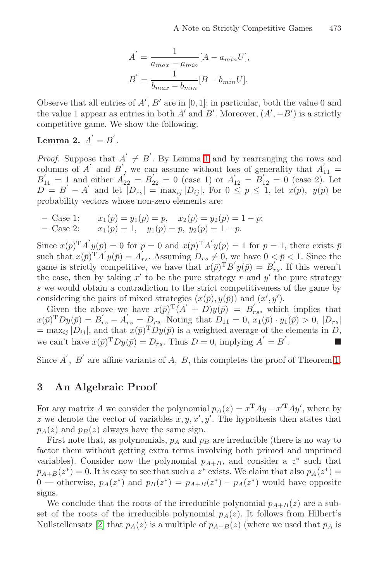$$
A' = \frac{1}{a_{max} - a_{min}} [A - a_{min} U],
$$
  

$$
B' = \frac{1}{b_{max} - b_{min}} [B - b_{min} U].
$$

Observe that all entries of  $A', B'$  are in [0, 1]; in particular, both the value 0 and the value 1 appear as entries in both  $A'$  and  $B'$ . Moreover,  $(A', -B')$  is a strictly competitive game. We show the following.

### **Lemma 2.**  $A' = B'$ .

*Proof.* Suppose that  $A' \neq B'$ . By Lemma 1 and by rearranging the rows and columns of A<sup> $'$ </sup> and B<sup> $'$ </sup>, we can assume without loss of generality that  $A'_{11}$  =  $B'_{11} = 1$  and either  $A'_{22} = B'_{22} = 0$  (case 1) or  $A'_{12} = B'_{12} = 0$  (case 2). Let  $D = B' - A'$  and let  $|D_{rs}| = \max_{ij} |D_{ij}|$ . For  $0 \le p \le 1$ , let  $x(p)$ ,  $y(p)$  be probability vectors whose non-zero elements are:

**−** Case 1:  $x_1(p) = y_1(p) = p$ ,  $x_2(p) = y_2(p) = 1 - p$ ; **−** Case 2:  $x_1(p) = 1$ ,  $y_1(p) = p$ ,  $y_2(p) = 1 - p$ .

Since  $x(p)^{\mathrm{T}}A'y(p) = 0$  for  $p = 0$  and  $x(p)^{\mathrm{T}}A'y(p) = 1$  for  $p = 1$ , there exists  $\bar{p}$ such that  $x(\bar{p})^T A' y(\bar{p}) = A'_{rs}$ . Assuming  $D_{rs} \neq 0$ , we have  $0 < \bar{p} < 1$ . Since the game is strictly competitive, we have that  $x(\bar{p})^T B' y(\bar{p}) = B'_{rs}$ . If this weren't the case, then b[y](#page-1-1) taking  $x'$  to be the pure strategy r and  $y'$  the pure strategy s we would obtain a contradiction to the strict competitiveness of the game by considering the pairs of mixed strategies  $(x(\bar{p}), y(\bar{p}))$  and  $(x', y')$ .

Given the above we have  $x(\bar{p})^T (A' + D) y(\bar{p}) = B'_{rs}$ , which implies that  $x(\bar{p})^T D y(\bar{p}) = B_{rs}' - A_{rs}' = D_{rs}$ . Noting that  $D_{11} = 0$ ,  $x_1(\bar{p}) \cdot y_1(\bar{p}) > 0$ ,  $|D_{rs}|$ = max<sub>ij</sub> |D<sub>ij</sub>|, and that  $x(\bar{p})^T D y(\bar{p})$  is a weighted average of the elements in D, we can't have  $x(\bar{p})^T D y(\bar{p}) = D_{rs}$ . Thus  $D = 0$ , implying  $A' = B'$ . -

Since  $A^{'}, B^{'}$  are affine variants of  $A, B$ , this completes the proof of Theorem 1.

## **3 An Algebraic Proof**

For any matrix A we consider the polynomial  $p_A(z) = x^{\mathrm{T}}Ay - x'^{\mathrm{T}}Ay'$ , where by z we denote the vector of variables  $x, y, x', y'$ . The hypothesis then states that  $p_A(z)$  and  $p_B(z)$  always have the same sign.

First note that, as polynomials,  $p_A$  and  $p_B$  are irreducible (there is no way to factor them without getting extra terms involving both primed and unprimed variables). Consider now the polynomial  $p_{A+B}$ , and consider a  $z^*$  such that  $p_{A+B}(z^*)=0$ . It is easy to see that such a  $z^*$  exists. We claim that also  $p_A(z^*)=$ 0 — otherwise,  $p_A(z^*)$  and  $p_B(z^*) = p_{A+B}(z^*) - p_A(z^*)$  would have opposite signs.

We conclude that the roots of the irreducible polynomial  $p_{A+B}(z)$  are a subset of the roots of the irreducible polynomial  $p_A(z)$ . It follows from Hilbert's Nullstellensatz [2] that  $p_A(z)$  is a multiple of  $p_{A+B}(z)$  (where we used that  $p_A$  is